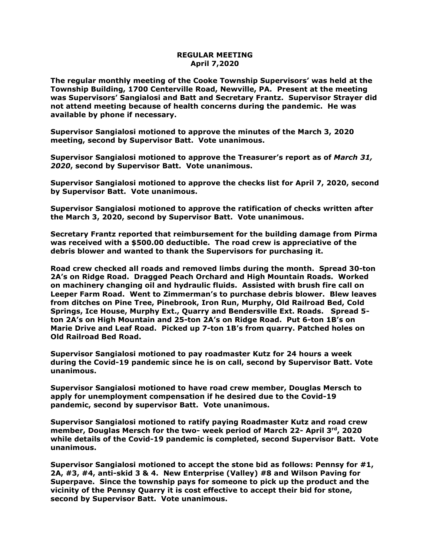## **REGULAR MEETING April 7,2020**

**The regular monthly meeting of the Cooke Township Supervisors' was held at the Township Building, 1700 Centerville Road, Newville, PA. Present at the meeting was Supervisors' Sangialosi and Batt and Secretary Frantz. Supervisor Strayer did not attend meeting because of health concerns during the pandemic. He was available by phone if necessary.**

**Supervisor Sangialosi motioned to approve the minutes of the March 3, 2020 meeting, second by Supervisor Batt. Vote unanimous.** 

**Supervisor Sangialosi motioned to approve the Treasurer's report as of** *March 31, 2020***, second by Supervisor Batt. Vote unanimous.**

**Supervisor Sangialosi motioned to approve the checks list for April 7, 2020, second by Supervisor Batt. Vote unanimous.**

**Supervisor Sangialosi motioned to approve the ratification of checks written after the March 3, 2020, second by Supervisor Batt. Vote unanimous.**

**Secretary Frantz reported that reimbursement for the building damage from Pirma was received with a \$500.00 deductible. The road crew is appreciative of the debris blower and wanted to thank the Supervisors for purchasing it.** 

**Road crew checked all roads and removed limbs during the month. Spread 30-ton 2A's on Ridge Road. Dragged Peach Orchard and High Mountain Roads. Worked on machinery changing oil and hydraulic fluids. Assisted with brush fire call on Leeper Farm Road. Went to Zimmerman's to purchase debris blower. Blew leaves from ditches on Pine Tree, Pinebrook, Iron Run, Murphy, Old Railroad Bed, Cold Springs, Ice House, Murphy Ext., Quarry and Bendersville Ext. Roads. Spread 5 ton 2A's on High Mountain and 25-ton 2A's on Ridge Road. Put 6-ton 1B's on Marie Drive and Leaf Road. Picked up 7-ton 1B's from quarry. Patched holes on Old Railroad Bed Road.**

**Supervisor Sangialosi motioned to pay roadmaster Kutz for 24 hours a week during the Covid-19 pandemic since he is on call, second by Supervisor Batt. Vote unanimous.**

**Supervisor Sangialosi motioned to have road crew member, Douglas Mersch to apply for unemployment compensation if he desired due to the Covid-19 pandemic, second by supervisor Batt. Vote unanimous.**

**Supervisor Sangialosi motioned to ratify paying Roadmaster Kutz and road crew member, Douglas Mersch for the two- week period of March 22- April 3rd, 2020 while details of the Covid-19 pandemic is completed, second Supervisor Batt. Vote unanimous.**

**Supervisor Sangialosi motioned to accept the stone bid as follows: Pennsy for #1, 2A, #3, #4, anti-skid 3 & 4. New Enterprise (Valley) #8 and Wilson Paving for Superpave. Since the township pays for someone to pick up the product and the vicinity of the Pennsy Quarry it is cost effective to accept their bid for stone, second by Supervisor Batt. Vote unanimous.**